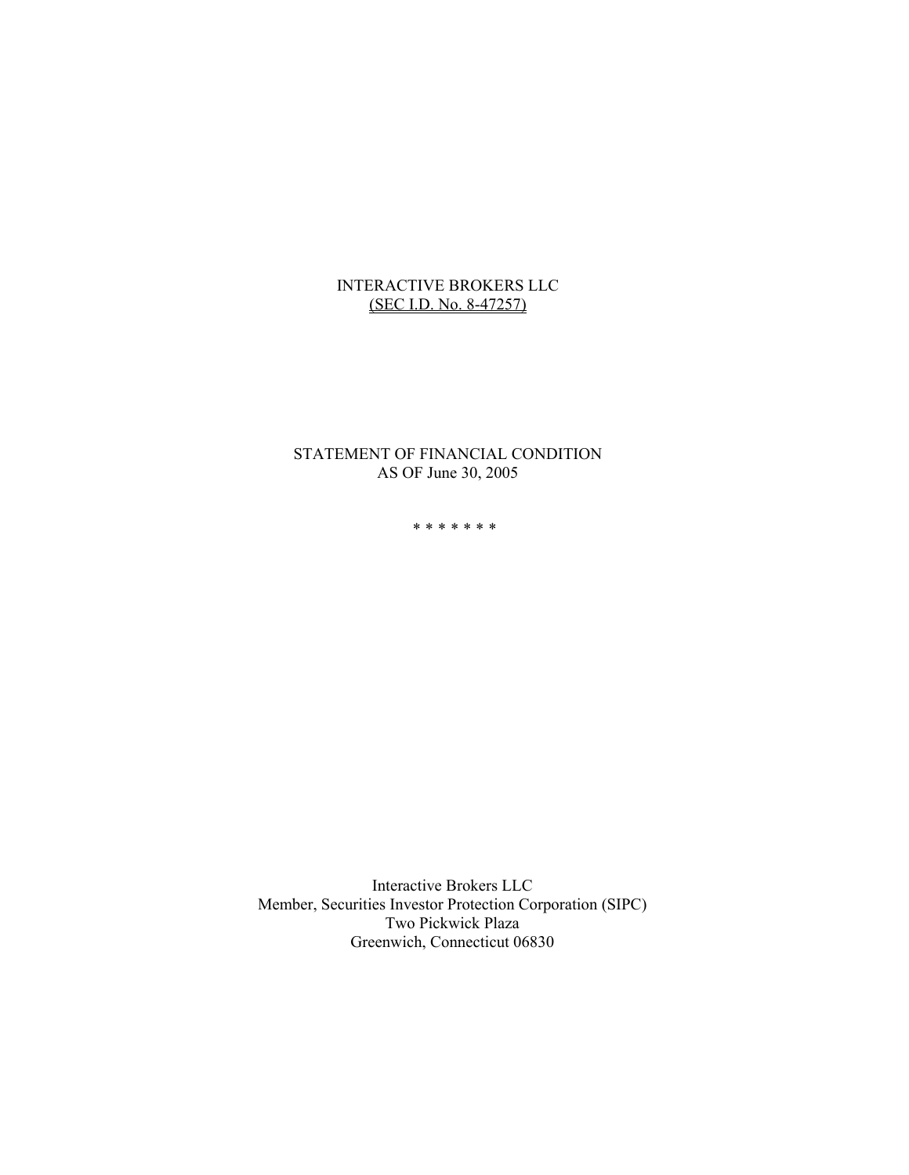## INTERACTIVE BROKERS LLC (SEC I.D. No. 8-47257)

## STATEMENT OF FINANCIAL CONDITION AS OF June 30, 2005

\*\*\*\*\*\*\*

Interactive Brokers LLC Member, Securities Investor Protection Corporation (SIPC) Two Pickwick Plaza Greenwich, Connecticut 06830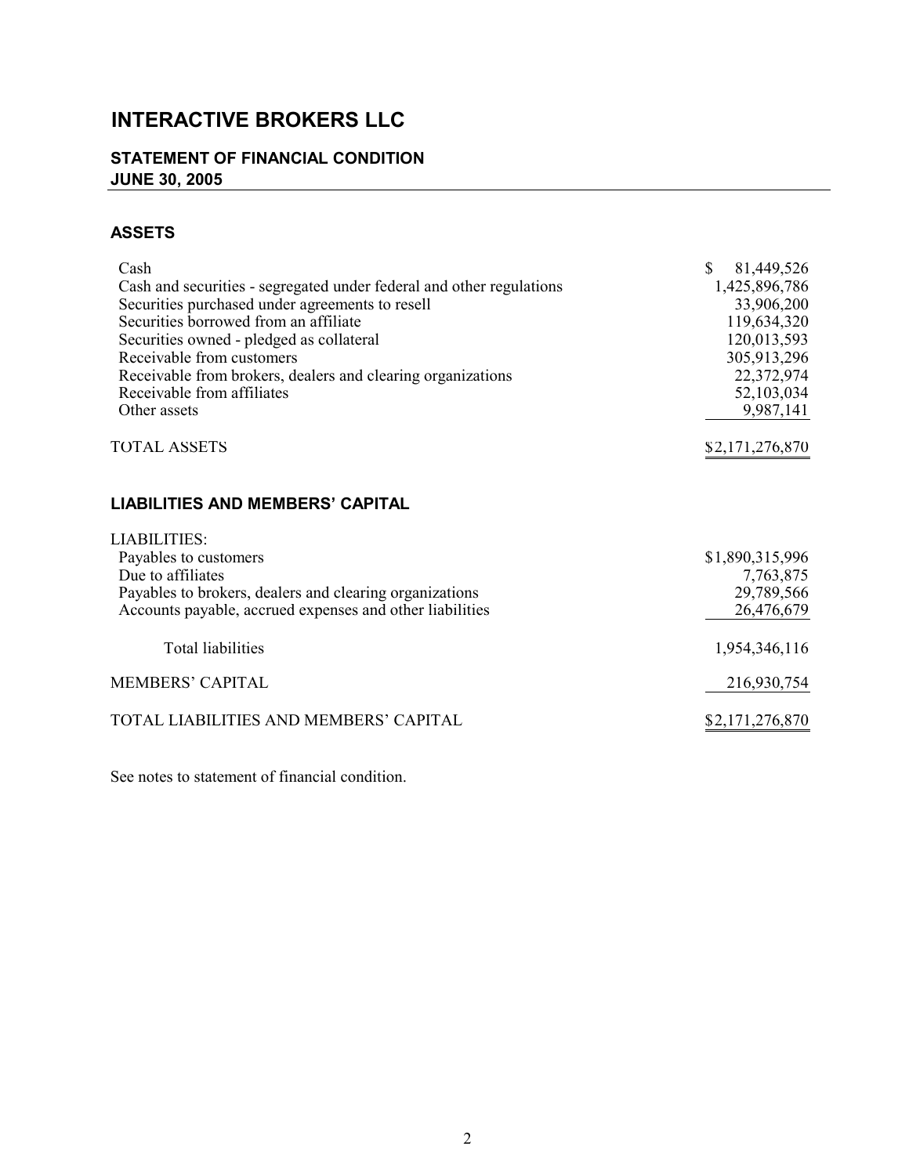# **INTERACTIVE BROKERS LLC**

## **STATEMENT OF FINANCIAL CONDITION JUNE 30, 2005**

## **ASSETS**

| Cash                                                                 | $\mathbb{S}$<br>81,449,526 |
|----------------------------------------------------------------------|----------------------------|
| Cash and securities - segregated under federal and other regulations | 1,425,896,786              |
| Securities purchased under agreements to resell                      | 33,906,200                 |
| Securities borrowed from an affiliate                                | 119,634,320                |
| Securities owned - pledged as collateral                             | 120,013,593                |
| Receivable from customers                                            | 305,913,296                |
| Receivable from brokers, dealers and clearing organizations          | 22,372,974                 |
| Receivable from affiliates                                           | 52,103,034                 |
| Other assets                                                         | 9,987,141                  |
|                                                                      |                            |
| <b>TOTAL ASSETS</b>                                                  | \$2,171,276,870            |
|                                                                      |                            |
|                                                                      |                            |
| <b>LIABILITIES AND MEMBERS' CAPITAL</b>                              |                            |
| <b>LIABILITIES:</b>                                                  |                            |
| Payables to customers                                                | \$1,890,315,996            |
| Due to affiliates                                                    | 7,763,875                  |
| Payables to brokers, dealers and clearing organizations              | 29,789,566                 |
| Accounts payable, accrued expenses and other liabilities             | 26,476,679                 |
|                                                                      |                            |
| <b>Total liabilities</b>                                             | 1,954,346,116              |
|                                                                      |                            |
| <b>MEMBERS' CAPITAL</b>                                              | 216,930,754                |
|                                                                      |                            |
|                                                                      |                            |
| TOTAL LIABILITIES AND MEMBERS' CAPITAL                               | \$2,171,276,870            |

See notes to statement of financial condition.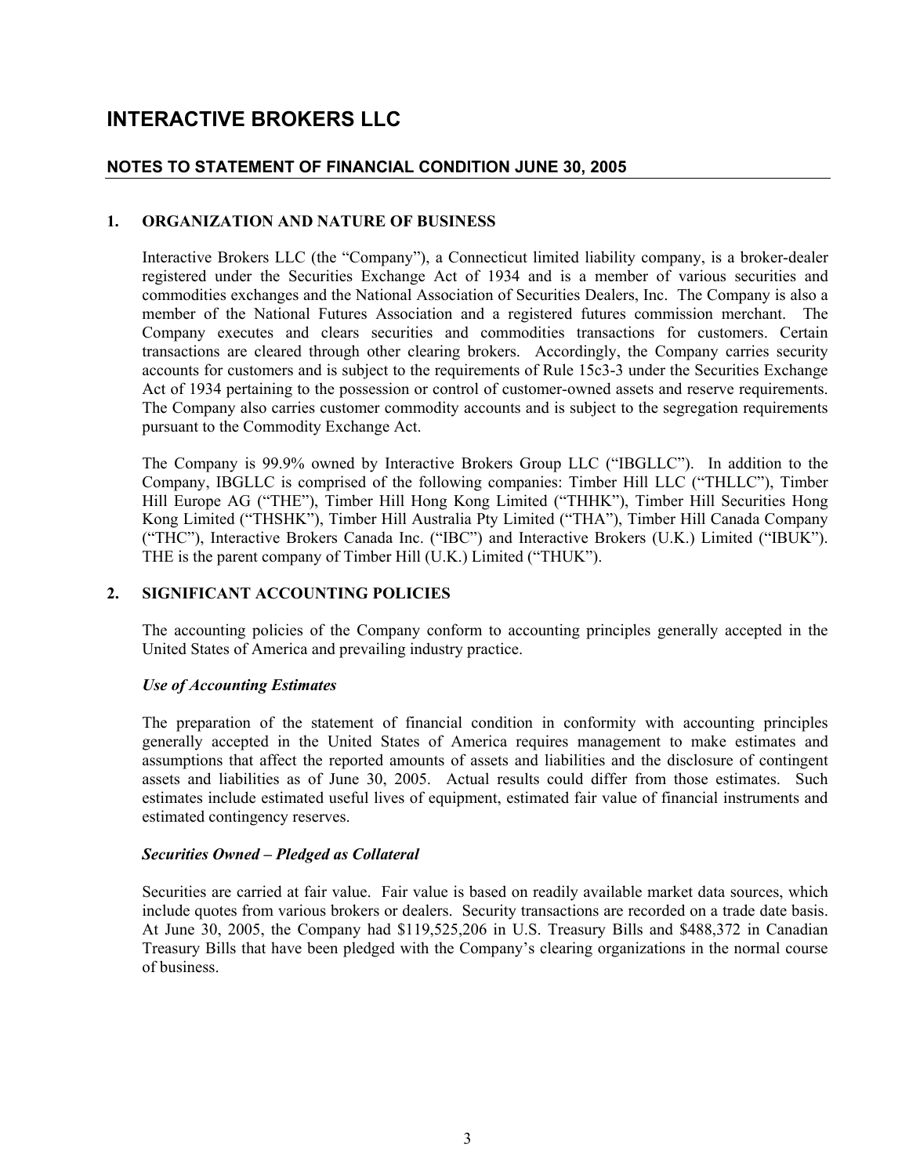## **INTERACTIVE BROKERS LLC**

## **NOTES TO STATEMENT OF FINANCIAL CONDITION JUNE 30, 2005**

## **1. ORGANIZATION AND NATURE OF BUSINESS**

Interactive Brokers LLC (the "Company"), a Connecticut limited liability company, is a broker-dealer registered under the Securities Exchange Act of 1934 and is a member of various securities and commodities exchanges and the National Association of Securities Dealers, Inc. The Company is also a member of the National Futures Association and a registered futures commission merchant. The Company executes and clears securities and commodities transactions for customers. Certain transactions are cleared through other clearing brokers. Accordingly, the Company carries security accounts for customers and is subject to the requirements of Rule 15c3-3 under the Securities Exchange Act of 1934 pertaining to the possession or control of customer-owned assets and reserve requirements. The Company also carries customer commodity accounts and is subject to the segregation requirements pursuant to the Commodity Exchange Act.

The Company is 99.9% owned by Interactive Brokers Group LLC ("IBGLLC"). In addition to the Company, IBGLLC is comprised of the following companies: Timber Hill LLC ("THLLC"), Timber Hill Europe AG ("THE"), Timber Hill Hong Kong Limited ("THHK"), Timber Hill Securities Hong Kong Limited ("THSHK"), Timber Hill Australia Pty Limited ("THA"), Timber Hill Canada Company ("THC"), Interactive Brokers Canada Inc. ("IBC") and Interactive Brokers (U.K.) Limited ("IBUK"). THE is the parent company of Timber Hill (U.K.) Limited ("THUK").

## **2. SIGNIFICANT ACCOUNTING POLICIES**

The accounting policies of the Company conform to accounting principles generally accepted in the United States of America and prevailing industry practice.

## *Use of Accounting Estimates*

The preparation of the statement of financial condition in conformity with accounting principles generally accepted in the United States of America requires management to make estimates and assumptions that affect the reported amounts of assets and liabilities and the disclosure of contingent assets and liabilities as of June 30, 2005. Actual results could differ from those estimates. Such estimates include estimated useful lives of equipment, estimated fair value of financial instruments and estimated contingency reserves.

## *Securities Owned – Pledged as Collateral*

Securities are carried at fair value. Fair value is based on readily available market data sources, which include quotes from various brokers or dealers. Security transactions are recorded on a trade date basis. At June 30, 2005, the Company had \$119,525,206 in U.S. Treasury Bills and \$488,372 in Canadian Treasury Bills that have been pledged with the Company's clearing organizations in the normal course of business.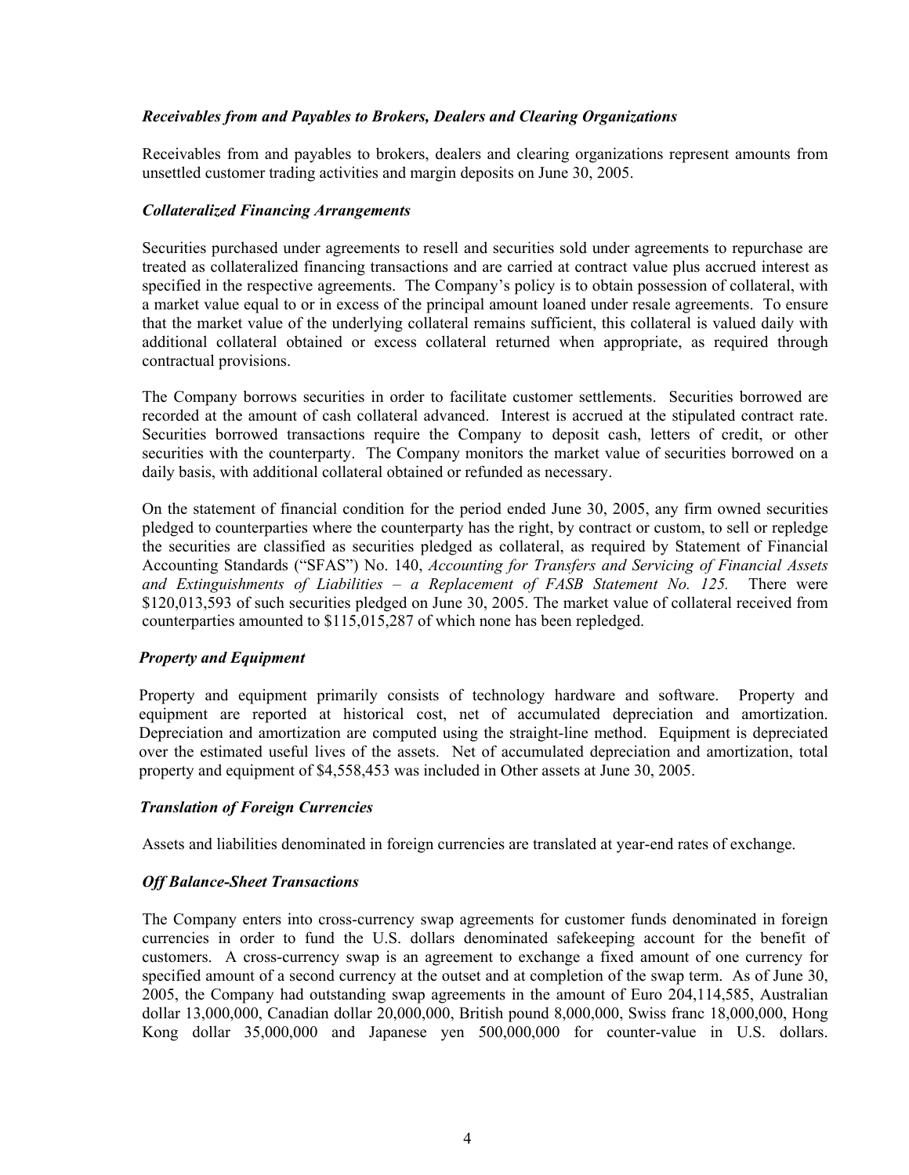## *Receivables from and Payables to Brokers, Dealers and Clearing Organizations*

Receivables from and payables to brokers, dealers and clearing organizations represent amounts from unsettled customer trading activities and margin deposits on June 30, 2005.

## *Collateralized Financing Arrangements*

Securities purchased under agreements to resell and securities sold under agreements to repurchase are treated as collateralized financing transactions and are carried at contract value plus accrued interest as specified in the respective agreements. The Company's policy is to obtain possession of collateral, with a market value equal to or in excess of the principal amount loaned under resale agreements. To ensure that the market value of the underlying collateral remains sufficient, this collateral is valued daily with additional collateral obtained or excess collateral returned when appropriate, as required through contractual provisions.

The Company borrows securities in order to facilitate customer settlements. Securities borrowed are recorded at the amount of cash collateral advanced. Interest is accrued at the stipulated contract rate. Securities borrowed transactions require the Company to deposit cash, letters of credit, or other securities with the counterparty. The Company monitors the market value of securities borrowed on a daily basis, with additional collateral obtained or refunded as necessary.

On the statement of financial condition for the period ended June 30, 2005, any firm owned securities pledged to counterparties where the counterparty has the right, by contract or custom, to sell or repledge the securities are classified as securities pledged as collateral, as required by Statement of Financial Accounting Standards ("SFAS") No. 140, *Accounting for Transfers and Servicing of Financial Assets and Extinguishments of Liabilities – a Replacement of FASB Statement No. 125.* There were \$120,013,593 of such securities pledged on June 30, 2005. The market value of collateral received from counterparties amounted to \$115,015,287 of which none has been repledged.

## *Property and Equipment*

Property and equipment primarily consists of technology hardware and software. Property and equipment are reported at historical cost, net of accumulated depreciation and amortization. Depreciation and amortization are computed using the straight-line method. Equipment is depreciated over the estimated useful lives of the assets. Net of accumulated depreciation and amortization, total property and equipment of \$4,558,453 was included in Other assets at June 30, 2005.

## *Translation of Foreign Currencies*

Assets and liabilities denominated in foreign currencies are translated at year-end rates of exchange.

## *Off Balance-Sheet Transactions*

The Company enters into cross-currency swap agreements for customer funds denominated in foreign currencies in order to fund the U.S. dollars denominated safekeeping account for the benefit of customers. A cross-currency swap is an agreement to exchange a fixed amount of one currency for specified amount of a second currency at the outset and at completion of the swap term. As of June 30, 2005, the Company had outstanding swap agreements in the amount of Euro 204,114,585, Australian dollar 13,000,000, Canadian dollar 20,000,000, British pound 8,000,000, Swiss franc 18,000,000, Hong Kong dollar 35,000,000 and Japanese yen 500,000,000 for counter-value in U.S. dollars.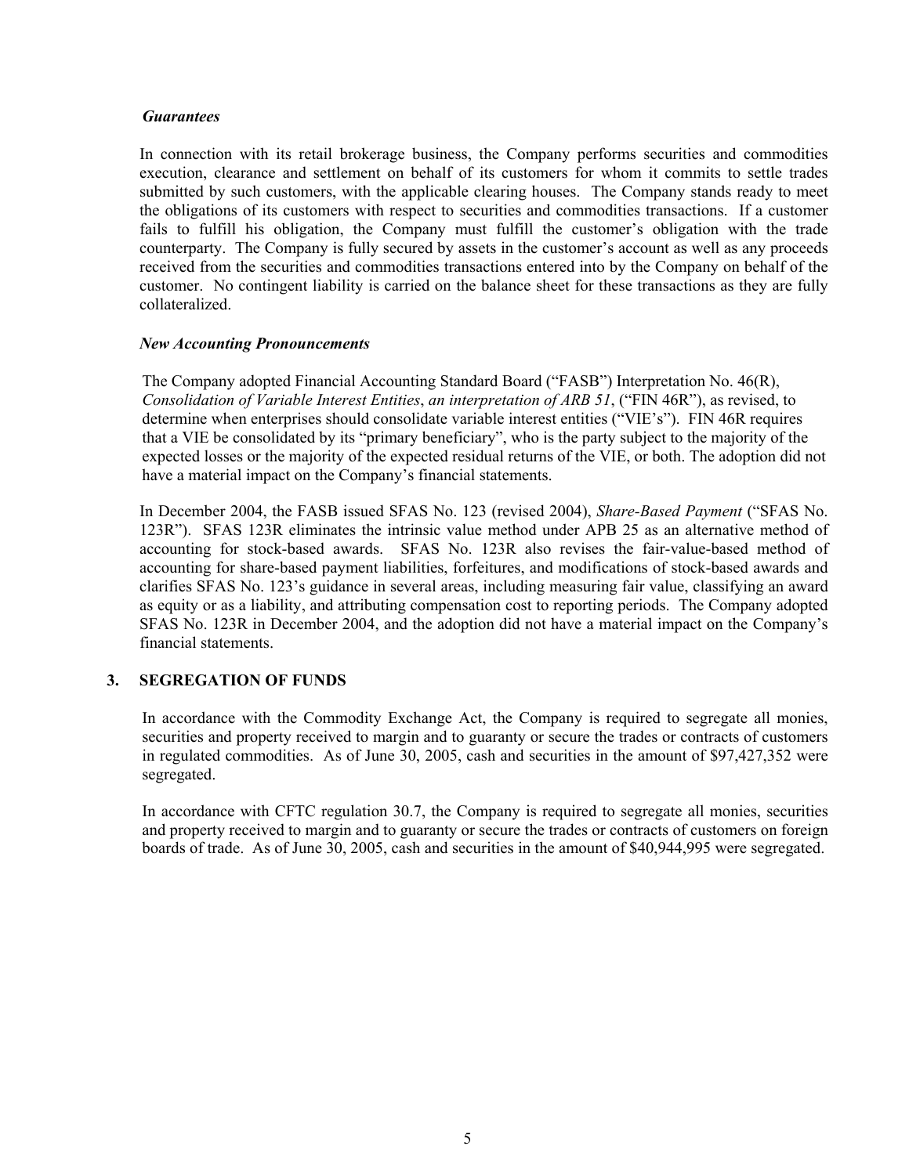#### *Guarantees*

In connection with its retail brokerage business, the Company performs securities and commodities execution, clearance and settlement on behalf of its customers for whom it commits to settle trades submitted by such customers, with the applicable clearing houses. The Company stands ready to meet the obligations of its customers with respect to securities and commodities transactions. If a customer fails to fulfill his obligation, the Company must fulfill the customer's obligation with the trade counterparty. The Company is fully secured by assets in the customer's account as well as any proceeds received from the securities and commodities transactions entered into by the Company on behalf of the customer. No contingent liability is carried on the balance sheet for these transactions as they are fully collateralized.

## *New Accounting Pronouncements*

The Company adopted Financial Accounting Standard Board ("FASB") Interpretation No. 46(R), *Consolidation of Variable Interest Entities*, *an interpretation of ARB 51*, ("FIN 46R"), as revised, to determine when enterprises should consolidate variable interest entities ("VIE's"). FIN 46R requires that a VIE be consolidated by its "primary beneficiary", who is the party subject to the majority of the expected losses or the majority of the expected residual returns of the VIE, or both. The adoption did not have a material impact on the Company's financial statements.

In December 2004, the FASB issued SFAS No. 123 (revised 2004), *Share-Based Payment* ("SFAS No. 123R"). SFAS 123R eliminates the intrinsic value method under APB 25 as an alternative method of accounting for stock-based awards. SFAS No. 123R also revises the fair-value-based method of accounting for share-based payment liabilities, forfeitures, and modifications of stock-based awards and clarifies SFAS No. 123's guidance in several areas, including measuring fair value, classifying an award as equity or as a liability, and attributing compensation cost to reporting periods. The Company adopted SFAS No. 123R in December 2004, and the adoption did not have a material impact on the Company's financial statements.

## **3. SEGREGATION OF FUNDS**

In accordance with the Commodity Exchange Act, the Company is required to segregate all monies, securities and property received to margin and to guaranty or secure the trades or contracts of customers in regulated commodities. As of June 30, 2005, cash and securities in the amount of \$97,427,352 were segregated.

In accordance with CFTC regulation 30.7, the Company is required to segregate all monies, securities and property received to margin and to guaranty or secure the trades or contracts of customers on foreign boards of trade. As of June 30, 2005, cash and securities in the amount of \$40,944,995 were segregated.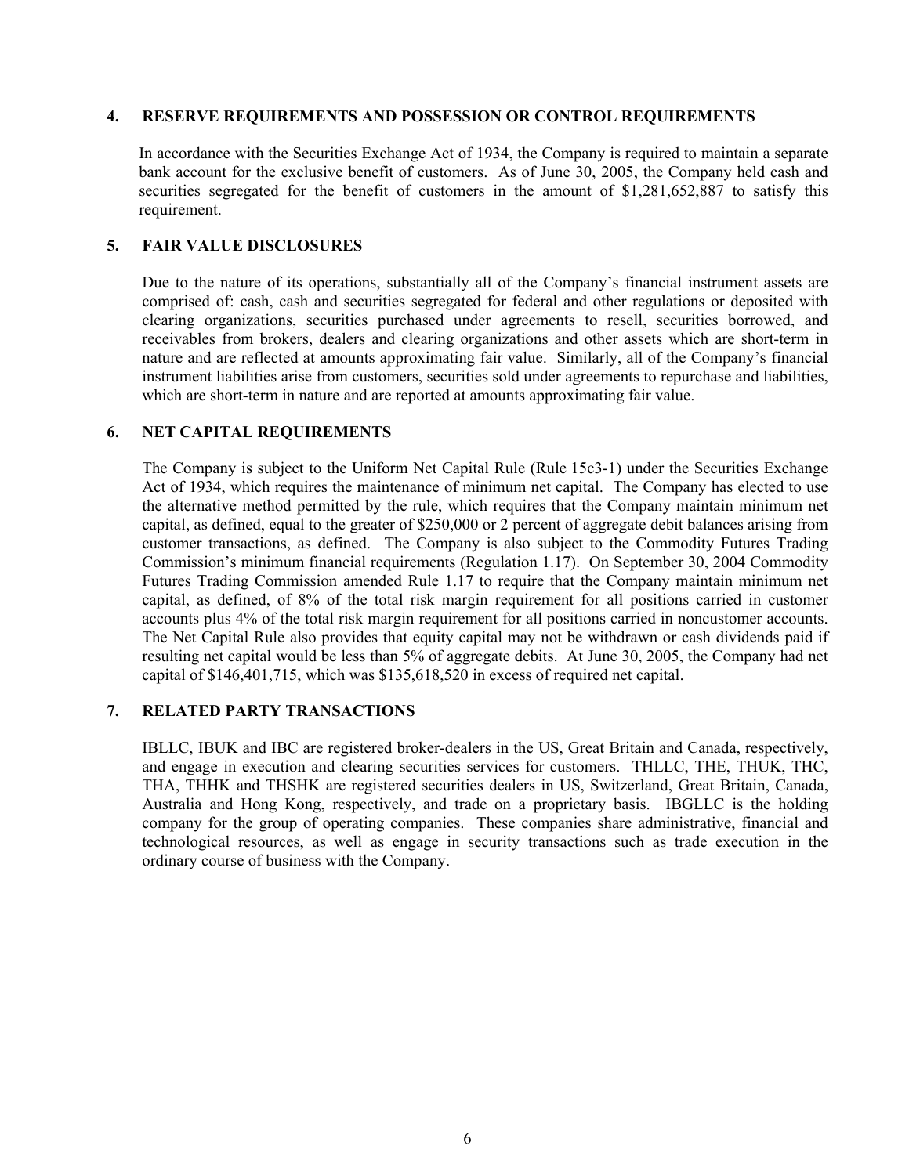#### **4. RESERVE REQUIREMENTS AND POSSESSION OR CONTROL REQUIREMENTS**

In accordance with the Securities Exchange Act of 1934, the Company is required to maintain a separate bank account for the exclusive benefit of customers. As of June 30, 2005, the Company held cash and securities segregated for the benefit of customers in the amount of \$1,281,652,887 to satisfy this requirement.

## **5. FAIR VALUE DISCLOSURES**

Due to the nature of its operations, substantially all of the Company's financial instrument assets are comprised of: cash, cash and securities segregated for federal and other regulations or deposited with clearing organizations, securities purchased under agreements to resell, securities borrowed, and receivables from brokers, dealers and clearing organizations and other assets which are short-term in nature and are reflected at amounts approximating fair value. Similarly, all of the Company's financial instrument liabilities arise from customers, securities sold under agreements to repurchase and liabilities, which are short-term in nature and are reported at amounts approximating fair value.

## **6. NET CAPITAL REQUIREMENTS**

The Company is subject to the Uniform Net Capital Rule (Rule 15c3-1) under the Securities Exchange Act of 1934, which requires the maintenance of minimum net capital. The Company has elected to use the alternative method permitted by the rule, which requires that the Company maintain minimum net capital, as defined, equal to the greater of \$250,000 or 2 percent of aggregate debit balances arising from customer transactions, as defined. The Company is also subject to the Commodity Futures Trading Commission's minimum financial requirements (Regulation 1.17). On September 30, 2004 Commodity Futures Trading Commission amended Rule 1.17 to require that the Company maintain minimum net capital, as defined, of 8% of the total risk margin requirement for all positions carried in customer accounts plus 4% of the total risk margin requirement for all positions carried in noncustomer accounts. The Net Capital Rule also provides that equity capital may not be withdrawn or cash dividends paid if resulting net capital would be less than 5% of aggregate debits. At June 30, 2005, the Company had net capital of \$146,401,715, which was \$135,618,520 in excess of required net capital.

## **7. RELATED PARTY TRANSACTIONS**

IBLLC, IBUK and IBC are registered broker-dealers in the US, Great Britain and Canada, respectively, and engage in execution and clearing securities services for customers. THLLC, THE, THUK, THC, THA, THHK and THSHK are registered securities dealers in US, Switzerland, Great Britain, Canada, Australia and Hong Kong, respectively, and trade on a proprietary basis. IBGLLC is the holding company for the group of operating companies. These companies share administrative, financial and technological resources, as well as engage in security transactions such as trade execution in the ordinary course of business with the Company.